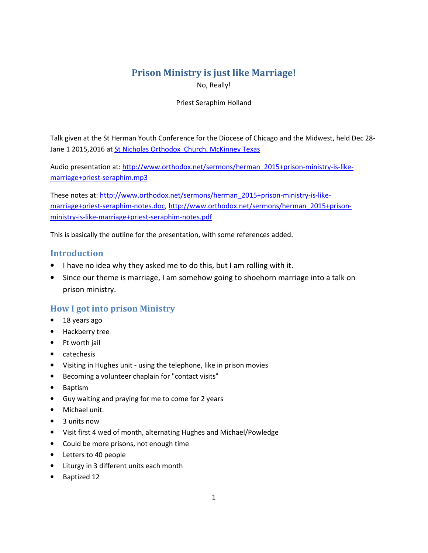# **Prison Ministry is just like Marriage!**

No, Really!

### Priest Seraphim Holland

Talk given at the St Herman Youth Conference for the Diocese of Chicago and the Midwest, held Dec 28- Jane 1 2015,2016 at St Nicholas Orthodox Church, McKinney Texas

Audio presentation at: http://www.orthodox.net/sermons/herman\_2015+prison-ministry-is-likemarriage+priest-seraphim.mp3

These notes at: http://www.orthodox.net/sermons/herman\_2015+prison-ministry-is-likemarriage+priest-seraphim-notes.doc, http://www.orthodox.net/sermons/herman\_2015+prisonministry-is-like-marriage+priest-seraphim-notes.pdf

This is basically the outline for the presentation, with some references added.

## **Introduction**

- I have no idea why they asked me to do this, but I am rolling with it.
- Since our theme is marriage, I am somehow going to shoehorn marriage into a talk on prison ministry.

# **How I got into prison Ministry**

- 18 years ago
- Hackberry tree
- Ft worth jail
- catechesis
- Visiting in Hughes unit using the telephone, like in prison movies
- Becoming a volunteer chaplain for "contact visits"
- Baptism
- Guy waiting and praying for me to come for 2 years
- Michael unit.
- 3 units now
- Visit first 4 wed of month, alternating Hughes and Michael/Powledge
- Could be more prisons, not enough time
- Letters to 40 people
- Liturgy in 3 different units each month
- Baptized 12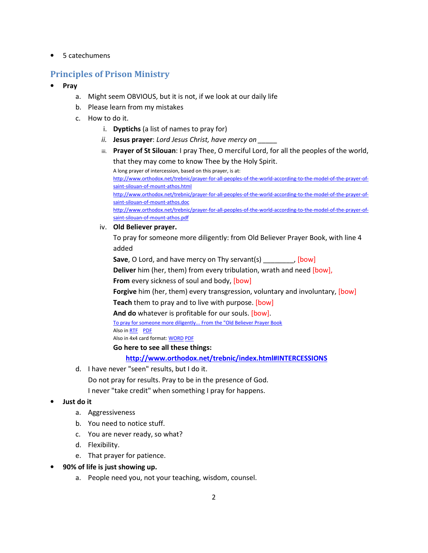• 5 catechumens

# **Principles of Prison Ministry**

- **Pray** 
	- a. Might seem OBVIOUS, but it is not, if we look at our daily life
	- b. Please learn from my mistakes
	- c. How to do it.
		- i. **Dyptichs** (a list of names to pray for)
		- *ii.* **Jesus prayer**: *Lord Jesus Christ, have mercy on \_\_\_\_\_*
		- iii. **Prayer of St Silouan**: I pray Thee, O merciful Lord, for all the peoples of the world, that they may come to know Thee by the Holy Spirit. A long prayer of intercession, based on this prayer, is at: http://www.orthodox.net/trebnic/prayer-for-all-peoples-of-the-world-according-to-the-model-of-the-prayer-ofsaint-silouan-of-mount-athos.html http://www.orthodox.net/trebnic/prayer-for-all-peoples-of-the-world-according-to-the-model-of-the-prayer-ofsaint-silouan-of-mount-athos.doc http://www.orthodox.net/trebnic/prayer-for-all-peoples-of-the-world-according-to-the-model-of-the-prayer-of-

saint-silouan-of-mount-athos.pdf

iv. **Old Believer prayer.** 

To pray for someone more diligently: from Old Believer Prayer Book, with line 4 added

**Save**, O Lord, and have mercy on Thy servant(s) [bow]

**Deliver** him (her, them) from every tribulation, wrath and need [bow],

**From** every sickness of soul and body, [bow]

**Forgive** him (her, them) every transgression, voluntary and involuntary, [bow] **Teach** them to pray and to live with purpose. [bow]

**And do** whatever is profitable for our souls. [bow].

To pray for someone more diligently... From the "Old Believer Prayer Book Also in RTF PDF

Also in 4x4 card format: WORD PDF

**Go here to see all these things:**

**http://www.orthodox.net/trebnic/index.html#INTERCESSIONS**

d. I have never "seen" results, but I do it.

Do not pray for results. Pray to be in the presence of God.

I never "take credit" when something I pray for happens.

### • **Just do it**

- a. Aggressiveness
- b. You need to notice stuff.
- c. You are never ready, so what?
- d. Flexibility.
- e. That prayer for patience.
- **90% of life is just showing up.** 
	- a. People need you, not your teaching, wisdom, counsel.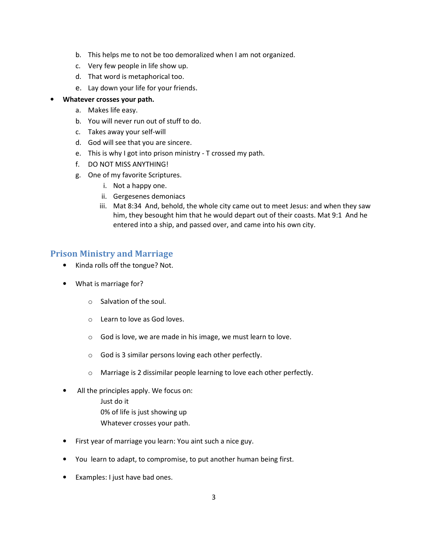- b. This helps me to not be too demoralized when I am not organized.
- c. Very few people in life show up.
- d. That word is metaphorical too.
- e. Lay down your life for your friends.

#### • **Whatever crosses your path.**

- a. Makes life easy.
- b. You will never run out of stuff to do.
- c. Takes away your self-will
- d. God will see that you are sincere.
- e. This is why I got into prison ministry T crossed my path.
- f. DO NOT MISS ANYTHING!
- g. One of my favorite Scriptures.
	- i. Not a happy one.
	- ii. Gergesenes demoniacs
	- iii. Mat 8:34 And, behold, the whole city came out to meet Jesus: and when they saw him, they besought him that he would depart out of their coasts. Mat 9:1 And he entered into a ship, and passed over, and came into his own city.

## **Prison Ministry and Marriage**

- Kinda rolls off the tongue? Not.
- What is marriage for?
	- o Salvation of the soul.
	- o Learn to love as God loves.
	- o God is love, we are made in his image, we must learn to love.
	- o God is 3 similar persons loving each other perfectly.
	- o Marriage is 2 dissimilar people learning to love each other perfectly.
- All the principles apply. We focus on:
	- Just do it 0% of life is just showing up Whatever crosses your path.
- First year of marriage you learn: You aint such a nice guy.
- You learn to adapt, to compromise, to put another human being first.
- Examples: I just have bad ones.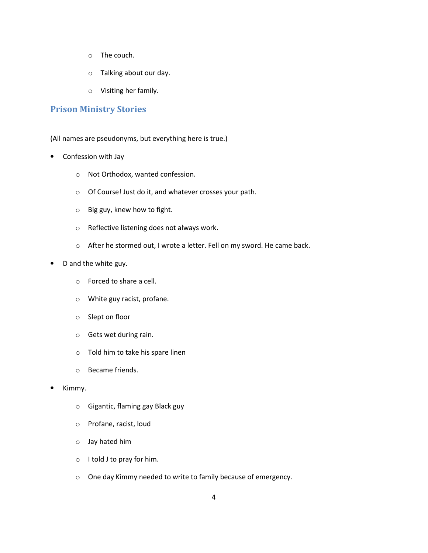- o The couch.
- o Talking about our day.
- o Visiting her family.

### **Prison Ministry Stories**

(All names are pseudonyms, but everything here is true.)

- Confession with Jay
	- o Not Orthodox, wanted confession.
	- o Of Course! Just do it, and whatever crosses your path.
	- o Big guy, knew how to fight.
	- o Reflective listening does not always work.
	- o After he stormed out, I wrote a letter. Fell on my sword. He came back.
- D and the white guy.
	- o Forced to share a cell.
	- o White guy racist, profane.
	- o Slept on floor
	- o Gets wet during rain.
	- o Told him to take his spare linen
	- o Became friends.
- Kimmy.
	- o Gigantic, flaming gay Black guy
	- o Profane, racist, loud
	- o Jay hated him
	- o I told J to pray for him.
	- o One day Kimmy needed to write to family because of emergency.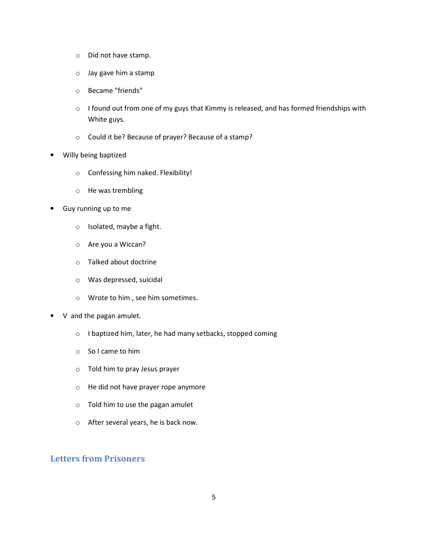- o Did not have stamp.
- o Jay gave him a stamp
- o Became "friends"
- o I found out from one of my guys that Kimmy is released, and has formed friendships with White guys.
- o Could it be? Because of prayer? Because of a stamp?
- Willy being baptized
	- o Confessing him naked. Flexibility!
	- o He was trembling
- Guy running up to me
	- o Isolated, maybe a fight.
	- o Are you a Wiccan?
	- o Talked about doctrine
	- o Was depressed, suicidal
	- o Wrote to him , see him sometimes.
- V and the pagan amulet.
	- o I baptized him, later, he had many setbacks, stopped coming
	- o So I came to him
	- o Told him to pray Jesus prayer
	- o He did not have prayer rope anymore
	- o Told him to use the pagan amulet
	- o After several years, he is back now.

## **Letters from Prisoners**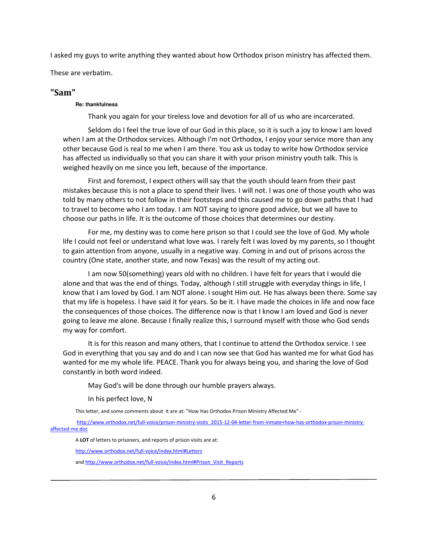I asked my guys to write anything they wanted about how Orthodox prison ministry has affected them.

These are verbatim.

### **"Sam"**

#### **Re: thankfulness**

Thank you again for your tireless love and devotion for all of us who are incarcerated.

Seldom do I feel the true love of our God in this place, so it is such a joy to know I am loved when I am at the Orthodox services. Although I'm not Orthodox, I enjoy your service more than any other because God is real to me when I am there. You ask us today to write how Orthodox service has affected us individually so that you can share it with your prison ministry youth talk. This is weighed heavily on me since you left, because of the importance.

First and foremost, I expect others will say that the youth should learn from their past mistakes because this is not a place to spend their lives. I will not. I was one of those youth who was told by many others to not follow in their footsteps and this caused me to go down paths that I had to travel to become who I am today. I am NOT saying to ignore good advice, but we all have to choose our paths in life. It is the outcome of those choices that determines our destiny.

For me, my destiny was to come here prison so that I could see the love of God. My whole life I could not feel or understand what love was. I rarely felt I was loved by my parents, so I thought to gain attention from anyone, usually in a negative way. Coming in and out of prisons across the country (One state, another state, and now Texas) was the result of my acting out.

I am now 50(something) years old with no children. I have felt for years that I would die alone and that was the end of things. Today, although I still struggle with everyday things in life, I know that I am loved by God. I am NOT alone. I sought Him out. He has always been there. Some say that my life is hopeless. I have said it for years. So be it. I have made the choices in life and now face the consequences of those choices. The difference now is that I know I am loved and God is never going to leave me alone. Because I finally realize this, I surround myself with those who God sends my way for comfort.

It is for this reason and many others, that I continue to attend the Orthodox service. I see God in everything that you say and do and I can now see that God has wanted me for what God has wanted for me my whole life. PEACE. Thank you for always being you, and sharing the love of God constantly in both word indeed.

May God's will be done through our humble prayers always.

In his perfect love, N

This letter, and some comments about it are at: "How Has Orthodox Prison Ministry Affected Me" -

http://www.orthodox.net/full-voice/prison-ministry-visits\_2015-12-04-letter-from-inmate+how-has-orthodox-prison-ministryaffected-me.doc

A **LOT** of letters to prisoners, and reports of prison visits are at:

http://www.orthodox.net/full-voice/index.html#Letters

and http://www.orthodox.net/full-voice/index.html#Prison\_Visit\_Reports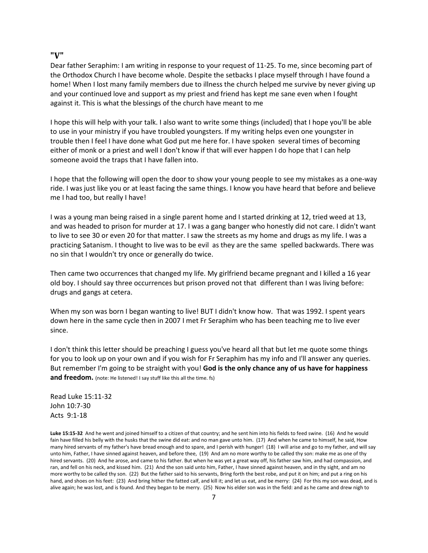#### **"V"**

Dear father Seraphim: I am writing in response to your request of 11-25. To me, since becoming part of the Orthodox Church I have become whole. Despite the setbacks I place myself through I have found a home! When I lost many family members due to illness the church helped me survive by never giving up and your continued love and support as my priest and friend has kept me sane even when I fought against it. This is what the blessings of the church have meant to me

I hope this will help with your talk. I also want to write some things (included) that I hope you'll be able to use in your ministry if you have troubled youngsters. If my writing helps even one youngster in trouble then I feel I have done what God put me here for. I have spoken several times of becoming either of monk or a priest and well I don't know if that will ever happen I do hope that I can help someone avoid the traps that I have fallen into.

I hope that the following will open the door to show your young people to see my mistakes as a one-way ride. I was just like you or at least facing the same things. I know you have heard that before and believe me I had too, but really I have!

I was a young man being raised in a single parent home and I started drinking at 12, tried weed at 13, and was headed to prison for murder at 17. I was a gang banger who honestly did not care. I didn't want to live to see 30 or even 20 for that matter. I saw the streets as my home and drugs as my life. I was a practicing Satanism. I thought to live was to be evil as they are the same spelled backwards. There was no sin that I wouldn't try once or generally do twice.

Then came two occurrences that changed my life. My girlfriend became pregnant and I killed a 16 year old boy. I should say three occurrences but prison proved not that different than I was living before: drugs and gangs at cetera.

When my son was born I began wanting to live! BUT I didn't know how. That was 1992. I spent years down here in the same cycle then in 2007 I met Fr Seraphim who has been teaching me to live ever since.

I don't think this letter should be preaching I guess you've heard all that but let me quote some things for you to look up on your own and if you wish for Fr Seraphim has my info and I'll answer any queries. But remember I'm going to be straight with you! **God is the only chance any of us have for happiness and freedom.** (note: He listened! I say stuff like this all the time. fs)

Read Luke 15:11-32 John 10:7-30 Acts 9:1-18

**Luke 15:15-32** And he went and joined himself to a citizen of that country; and he sent him into his fields to feed swine. (16) And he would fain have filled his belly with the husks that the swine did eat: and no man gave unto him. (17) And when he came to himself, he said, How many hired servants of my father's have bread enough and to spare, and I perish with hunger! (18) I will arise and go to my father, and will say unto him, Father, I have sinned against heaven, and before thee, (19) And am no more worthy to be called thy son: make me as one of thy hired servants. (20) And he arose, and came to his father. But when he was yet a great way off, his father saw him, and had compassion, and ran, and fell on his neck, and kissed him. (21) And the son said unto him, Father, I have sinned against heaven, and in thy sight, and am no more worthy to be called thy son. (22) But the father said to his servants, Bring forth the best robe, and put it on him; and put a ring on his hand, and shoes on his feet: (23) And bring hither the fatted calf, and kill it; and let us eat, and be merry: (24) For this my son was dead, and is alive again; he was lost, and is found. And they began to be merry. (25) Now his elder son was in the field: and as he came and drew nigh to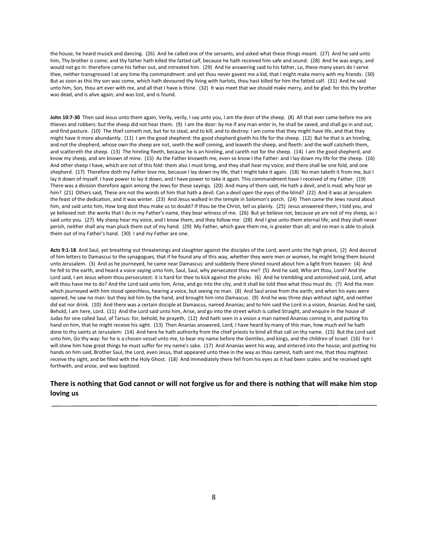the house, he heard musick and dancing. (26) And he called one of the servants, and asked what these things meant. (27) And he said unto him, Thy brother is come; and thy father hath killed the fatted calf, because he hath received him safe and sound. (28) And he was angry, and would not go in: therefore came his father out, and intreated him. (29) And he answering said to his father, Lo, these many years do I serve thee, neither transgressed I at any time thy commandment: and yet thou never gavest me a kid, that I might make merry with my friends: (30) But as soon as this thy son was come, which hath devoured thy living with harlots, thou hast killed for him the fatted calf. (31) And he said unto him, Son, thou art ever with me, and all that I have is thine. (32) It was meet that we should make merry, and be glad: for this thy brother was dead, and is alive again; and was lost, and is found.

John 10:7-30 Then said Jesus unto them again, Verily, verily, I say unto you, I am the door of the sheep. (8) All that ever came before me are thieves and robbers: but the sheep did not hear them. (9) I am the door: by me if any man enter in, he shall be saved, and shall go in and out, and find pasture. (10) The thief cometh not, but for to steal, and to kill, and to destroy: I am come that they might have life, and that they might have it more abundantly. (11) I am the good shepherd: the good shepherd giveth his life for the sheep. (12) But he that is an hireling, and not the shepherd, whose own the sheep are not, seeth the wolf coming, and leaveth the sheep, and fleeth: and the wolf catcheth them, and scattereth the sheep. (13) The hireling fleeth, because he is an hireling, and careth not for the sheep. (14) I am the good shepherd, and know my sheep, and am known of mine. (15) As the Father knoweth me, even so know I the Father: and I lay down my life for the sheep. (16) And other sheep I have, which are not of this fold: them also I must bring, and they shall hear my voice; and there shall be one fold, and one shepherd. (17) Therefore doth my Father love me, because I lay down my life, that I might take it again. (18) No man taketh it from me, but I lay it down of myself. I have power to lay it down, and I have power to take it again. This commandment have I received of my Father. (19) There was a division therefore again among the Jews for these sayings. (20) And many of them said, He hath a devil, and is mad; why hear ye him? (21) Others said, These are not the words of him that hath a devil. Can a devil open the eyes of the blind? (22) And it was at Jerusalem the feast of the dedication, and it was winter. (23) And Jesus walked in the temple in Solomon's porch. (24) Then came the Jews round about him, and said unto him, How long dost thou make us to doubt? If thou be the Christ, tell us plainly. (25) Jesus answered them, I told you, and ye believed not: the works that I do in my Father's name, they bear witness of me. (26) But ye believe not, because ye are not of my sheep, as I said unto you. (27) My sheep hear my voice, and I know them, and they follow me: (28) And I give unto them eternal life; and they shall never perish, neither shall any man pluck them out of my hand. (29) My Father, which gave them me, is greater than all; and no man is able to pluck them out of my Father's hand. (30) I and my Father are one.

**Acts 9:1-18** And Saul, yet breathing out threatenings and slaughter against the disciples of the Lord, went unto the high priest, (2) And desired of him letters to Damascus to the synagogues, that if he found any of this way, whether they were men or women, he might bring them bound unto Jerusalem. (3) And as he journeyed, he came near Damascus: and suddenly there shined round about him a light from heaven: (4) And he fell to the earth, and heard a voice saying unto him, Saul, Saul, why persecutest thou me? (5) And he said, Who art thou, Lord? And the Lord said, I am Jesus whom thou persecutest: it is hard for thee to kick against the pricks. (6) And he trembling and astonished said, Lord, what wilt thou have me to do? And the Lord said unto him, Arise, and go into the city, and it shall be told thee what thou must do. (7) And the men which journeyed with him stood speechless, hearing a voice, but seeing no man. (8) And Saul arose from the earth; and when his eyes were opened, he saw no man: but they led him by the hand, and brought him into Damascus. (9) And he was three days without sight, and neither did eat nor drink. (10) And there was a certain disciple at Damascus, named Ananias; and to him said the Lord in a vision, Ananias. And he said, Behold, I am here, Lord. (11) And the Lord said unto him, Arise, and go into the street which is called Straight, and enquire in the house of Judas for one called Saul, of Tarsus: for, behold, he prayeth, (12) And hath seen in a vision a man named Ananias coming in, and putting his hand on him, that he might receive his sight. (13) Then Ananias answered, Lord, I have heard by many of this man, how much evil he hath done to thy saints at Jerusalem: (14) And here he hath authority from the chief priests to bind all that call on thy name. (15) But the Lord said unto him, Go thy way: for he is a chosen vessel unto me, to bear my name before the Gentiles, and kings, and the children of Israel: (16) For I will shew him how great things he must suffer for my name's sake. (17) And Ananias went his way, and entered into the house; and putting his hands on him said, Brother Saul, the Lord, even Jesus, that appeared unto thee in the way as thou camest, hath sent me, that thou mightest receive thy sight, and be filled with the Holy Ghost. (18) And immediately there fell from his eyes as it had been scales: and he received sight forthwith, and arose, and was baptized.

#### **There is nothing that God cannot or will not forgive us for and there is nothing that will make him stop loving us**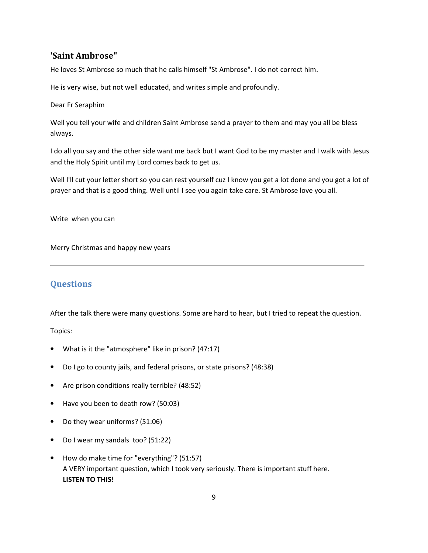## **'Saint Ambrose"**

He loves St Ambrose so much that he calls himself "St Ambrose". I do not correct him.

He is very wise, but not well educated, and writes simple and profoundly.

Dear Fr Seraphim

Well you tell your wife and children Saint Ambrose send a prayer to them and may you all be bless always.

I do all you say and the other side want me back but I want God to be my master and I walk with Jesus and the Holy Spirit until my Lord comes back to get us.

Well I'll cut your letter short so you can rest yourself cuz I know you get a lot done and you got a lot of prayer and that is a good thing. Well until I see you again take care. St Ambrose love you all.

Write when you can

Merry Christmas and happy new years

## **Questions**

After the talk there were many questions. Some are hard to hear, but I tried to repeat the question.

Topics:

- What is it the "atmosphere" like in prison? (47:17)
- Do I go to county jails, and federal prisons, or state prisons? (48:38)
- Are prison conditions really terrible? (48:52)
- Have you been to death row? (50:03)
- Do they wear uniforms? (51:06)
- Do I wear my sandals too? (51:22)
- How do make time for "everything"? (51:57) A VERY important question, which I took very seriously. There is important stuff here. **LISTEN TO THIS!**